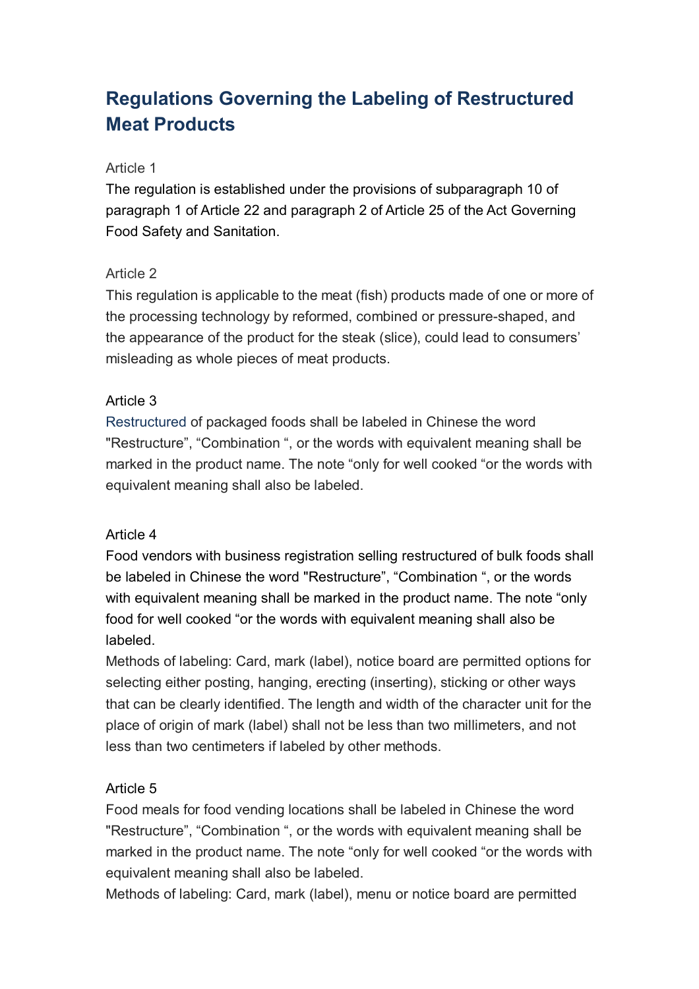# **Regulations Governing the Labeling of Restructured Meat Products**

#### Article 1

The regulation is established under the provisions of subparagraph 10 of paragraph 1 of Article 22 and paragraph 2 of Article 25 of the Act Governing Food Safety and Sanitation.

### Article 2

This regulation is applicable to the meat (fish) products made of one or more of the processing technology by reformed, combined or pressure-shaped, and the appearance of the product for the steak (slice), could lead to consumers' misleading as whole pieces of meat products.

## Article 3

Restructured of packaged foods shall be labeled in Chinese the word "Restructure", "Combination ", or the words with equivalent meaning shall be marked in the product name. The note "only for well cooked "or the words with equivalent meaning shall also be labeled.

### Article 4

Food vendors with business registration selling restructured of bulk foods shall be labeled in Chinese the word "Restructure", "Combination ", or the words with equivalent meaning shall be marked in the product name. The note "only" food for well cooked "or the words with equivalent meaning shall also be labeled.

Methods of labeling: Card, mark (label), notice board are permitted options for selecting either posting, hanging, erecting (inserting), sticking or other ways that can be clearly identified. The length and width of the character unit for the place of origin of mark (label) shall not be less than two millimeters, and not less than two centimeters if labeled by other methods.

# Article 5

Food meals for food vending locations shall be labeled in Chinese the word "Restructure", "Combination ", or the words with equivalent meaning shall be marked in the product name. The note "only for well cooked "or the words with equivalent meaning shall also be labeled.

Methods of labeling: Card, mark (label), menu or notice board are permitted